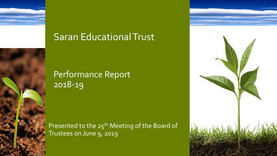

### Saran Educational Trust

### Performance Report 2018-19

Presented to the 25<sup>th</sup> Meeting of the Board of Trustees on June 9, 2019

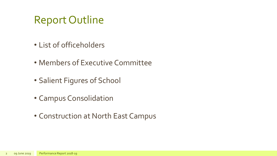# Report Outline

- List of officeholders
- Members of Executive Committee
- Salient Figures of School
- Campus Consolidation
- Construction at North East Campus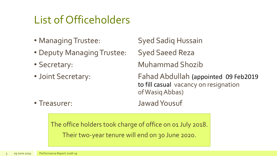# List of Officeholders

- 
- Deputy Managing Trustee: Syed Saeed Reza
- 
- 

• Managing Trustee: Syed Sadiq Hussain • Secretary: Muhammad Shozib • Joint Secretary: Fahad Abdullah (appointed 09 Feb2019 to fill casual vacancy on resignation of Wasiq Abbas)

- 
- Treasurer: Jawad Yousuf

The office holders took charge of office on 01 July 2018. Their two-year tenure will end on 30 June 2020.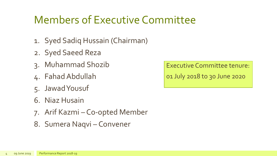# Members of Executive Committee

- 1. Syed Sadiq Hussain (Chairman)
- 2. Syed Saeed Reza
- 3. Muhammad Shozib
- 4. Fahad Abdullah
- 5. Jawad Yousuf
- 6. Niaz Husain
- 7. Arif Kazmi Co-opted Member
- 8. Sumera Naqvi Convener

Executive Committee tenure: 01 July 2018 to 30 June 2020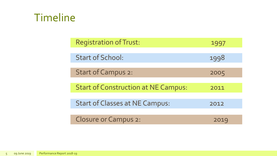# Timeline

| <b>Registration of Trust:</b>              | 1997 |
|--------------------------------------------|------|
|                                            |      |
| <b>Start of School:</b>                    | 1998 |
|                                            |      |
| <b>Start of Campus 2:</b>                  | 2005 |
|                                            |      |
| <b>Start of Construction at NE Campus:</b> | 2011 |
|                                            |      |
| <b>Start of Classes at NE Campus:</b>      | 2012 |
|                                            |      |
| <b>Closure or Campus 2:</b>                | 2019 |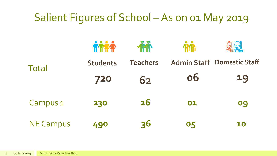# Salient Figures of School - As on 01 May 2019

|                  | <b>TYTYP</b>    | <b>THT</b>      |    | UL                                |
|------------------|-----------------|-----------------|----|-----------------------------------|
| <b>Total</b>     | <b>Students</b> | <b>Teachers</b> |    | <b>Admin Staff Domestic Staff</b> |
|                  | 720             | 62              | 06 | 19                                |
| <b>Campus 1</b>  | 230             | 26              | 01 | 09                                |
| <b>NE Campus</b> | 490             | 36              | 05 | 10                                |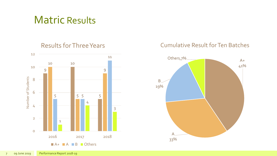## Matric Results

### Results for Three Years



### Cumulative Result for Ten Batches

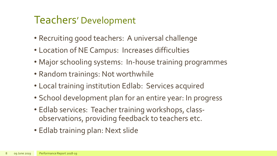## Teachers' Development

- Recruiting good teachers: A universal challenge
- Location of NE Campus: Increases difficulties
- Major schooling systems: In-house training programmes
- Random trainings: Not worthwhile
- Local training institution Edlab: Services acquired
- School development plan for an entire year: In progress
- Edlab services: Teacher training workshops, classobservations, providing feedback to teachers etc.
- Edlab training plan: Next slide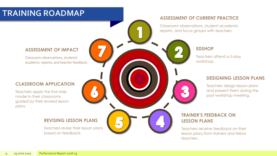### **TRAINING ROADMAP**

#### **ASSESSMENT OF IMPACT**

Classroom observations, students' academic reports, and teacher feedback.

#### **CLASSROOM APPLICATION**

Teachers apply the five-step model in their classrooms guided by their revised lesson plans.

#### **REVISING LESSON PLANS**

Teachers revise their lesson plans based on feedback.

### **ASSESSMENT OF CURRENT PRACTICE**

Classroom observations, student academic reports, and focus groups with teachers.

#### **EDSHOP**

Teachers attend a 5-day workshop.

#### **DESIGNING LESSON PLANS**

Teachers design lesson plans and present them during the post-workshop meeting.

### **TRAINER'S FEEDBACK ON LESSON PLANS**

Teachers receive feedback on their lesson plans from trainers and fellow teachers.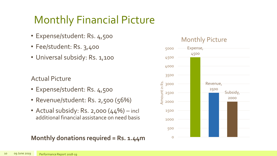# Monthly Financial Picture

- Expense/student: Rs. 4,500
- Fee/student: Rs. 3,400
- Universal subsidy: Rs. 1,100

### Actual Picture

- Expense/student: Rs. 4,500
- Revenue/student: Rs. 2,500 (56%)
- Actual subsidy: Rs. 2,000 (44%) incl additional financial assistance on need basis

### **Monthly donations required = Rs. 1.44m**

### Monthly Picture

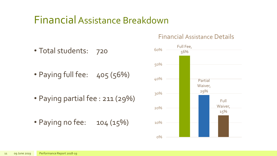## FinancialAssistance Breakdown

- Total students: 720
- Paying full fee: 405 (56%)
- Paying partial fee : 211 (29%)
- Paying no fee: 104 (15%)



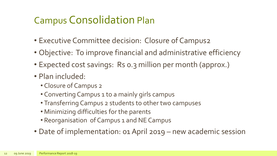# Campus Consolidation Plan

- Executive Committee decision: Closure of Campus2
- Objective: To improve financial and administrative efficiency
- Expected cost savings: Rs 0.3 million per month (approx.)
- Plan included:
	- Closure of Campus 2
	- Converting Campus 1 to a mainly girls campus
	- Transferring Campus 2 students to other two campuses
	- Minimizing difficulties for the parents
	- Reorganisation of Campus 1 and NE Campus
- Date of implementation: 01 April 2019 new academic session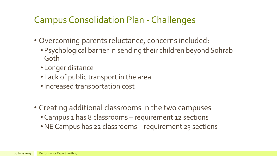## Campus Consolidation Plan - Challenges

- Overcoming parents reluctance, concerns included:
	- •Psychological barrier in sending their children beyond Sohrab Goth
	- •Longer distance
	- •Lack of public transport in the area
	- •Increased transportation cost
- Creating additional classrooms in the two campuses •Campus 1 has 8 classrooms – requirement 12 sections • NE Campus has 22 classrooms – requirement 23 sections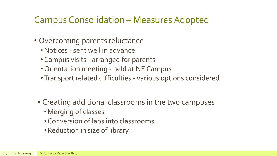### Campus Consolidation – Measures Adopted

- Overcoming parents reluctance
	- •Notices sent well in advance
	- •Campus visits arranged for parents
	- •Orientation meeting held at NE Campus
	- •Transport related difficulties various options considered
	- Creating additional classrooms in the two campuses
		- •Merging of classes
		- •Conversion of labs into classrooms
		- •Reduction in size of library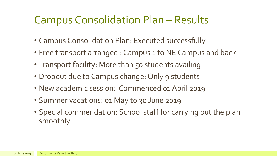# Campus Consolidation Plan – Results

- Campus Consolidation Plan: Executed successfully
- Free transport arranged : Campus 1 to NE Campus and back
- Transport facility: More than 50 students availing
- Dropout due to Campus change: Only 9 students
- New academic session: Commenced 01 April 2019
- Summer vacations: 01 May to 30 June 2019
- Special commendation: School staff for carrying out the plan smoothly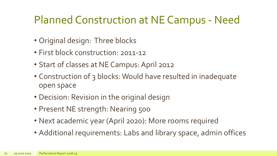# Planned Construction at NE Campus - Need

- Original design: Three blocks
- First block construction: 2011-12
- Start of classes at NE Campus: April 2012
- Construction of 3 blocks: Would have resulted in inadequate open space
- Decision: Revision in the original design
- Present NE strength: Nearing 500
- Next academic year (April 2020): More rooms required
- Additional requirements: Labs and library space, admin offices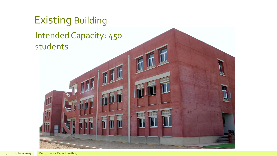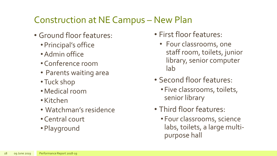### Construction at NE Campus – New Plan

- Ground floor features:
	- •Principal's office
	- •Admin office
	- •Conference room
	- Parents waiting area
	- •Tuck shop
	- •Medical room
	- •Kitchen
	- Watchman's residence
	- •Central court
	- •Playground
- First floor features:
	- Four classrooms, one staff room, toilets, junior library, senior computer lab
- Second floor features:
	- •Five classrooms, toilets, senior library
- Third floor features:
	- •Four classrooms, science labs, toilets, a large multipurpose hall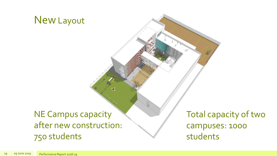### New Layout

### NE Campus capacity after new construction: 750 students

Total capacity of two campuses: 1000 students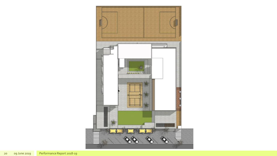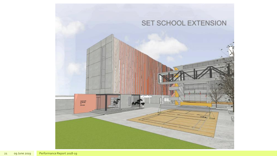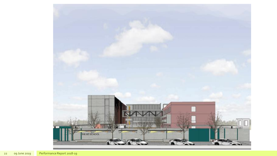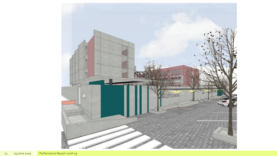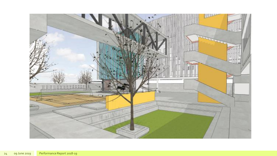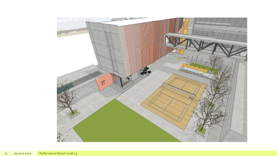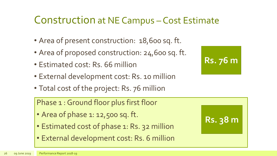## Construction at NE Campus – Cost Estimate

- Area of present construction: 18,600 sq. ft.
- Area of proposed construction: 24,600 sq. ft.
- Estimated cost: Rs. 66 million
- External development cost: Rs. 10 million
- Total cost of the project: Rs. 76 million



Phase 1 : Ground floor plus first floor

- Area of phase 1: 12,500 sq. ft.
- Estimated cost of phase 1: Rs. 32 million
- External development cost: Rs. 6 million

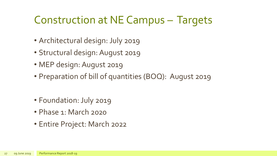# Construction at NE Campus – Targets

- Architectural design: July 2019
- Structural design: August 2019
- MEP design: August 2019
- Preparation of bill of quantities (BOQ): August 2019
- Foundation: July 2019
- Phase 1: March 2020
- Entire Project: March 2022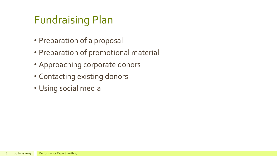# Fundraising Plan

- Preparation of a proposal
- Preparation of promotional material
- Approaching corporate donors
- Contacting existing donors
- Using social media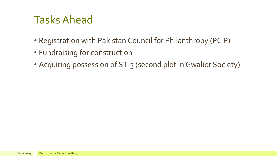# TasksAhead

- Registration with Pakistan Council for Philanthropy (PC P)
- Fundraising for construction
- Acquiring possession of ST-3 (second plot in Gwalior Society)